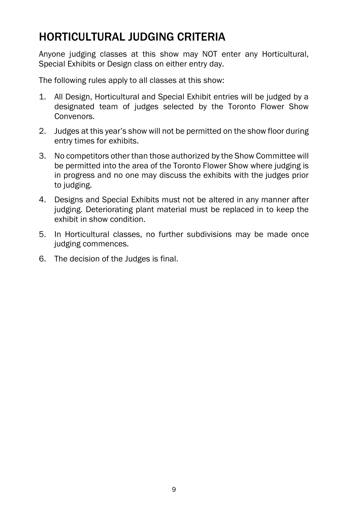# HORTICULTURAL JUDGING CRITERIA

Anyone judging classes at this show may NOT enter any Horticultural, Special Exhibits or Design class on either entry day.

The following rules apply to all classes at this show:

- 1. All Design, Horticultural and Special Exhibit entries will be judged by a designated team of judges selected by the Toronto Flower Show Convenors.
- 2. Judges at this year's show will not be permitted on the show floor during entry times for exhibits.
- 3. No competitors other than those authorized by the Show Committee will be permitted into the area of the Toronto Flower Show where judging is in progress and no one may discuss the exhibits with the judges prior to judging.
- 4. Designs and Special Exhibits must not be altered in any manner after judging. Deteriorating plant material must be replaced in to keep the exhibit in show condition.
- 5. In Horticultural classes, no further subdivisions may be made once judging commences.
- 6. The decision of the Judges is final.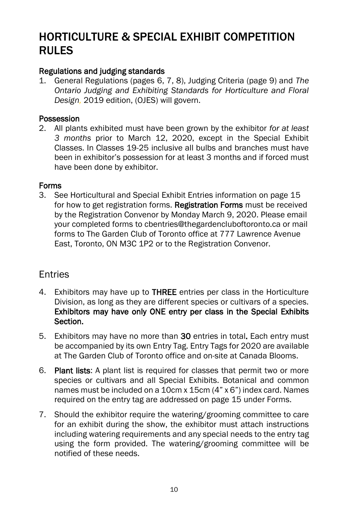# HORTICULTURE & SPECIAL EXHIBIT COMPETITION RULES

# Regulations and judging standards

1. General Regulations (pages 6, 7, 8), Judging Criteria (page 9) and *The Ontario Judging and Exhibiting Standards for Horticulture and Floral Design,* 2019 edition, (OJES) will govern.

#### Possession

2. All plants exhibited must have been grown by the exhibitor *for at least 3 months* prior to March 12, 2020, except in the Special Exhibit Classes. In Classes 19-25 inclusive all bulbs and branches must have been in exhibitor's possession for at least 3 months and if forced must have been done by exhibitor.

#### Forms

3. See Horticultural and Special Exhibit Entries information on page 15 for how to get registration forms. Registration Forms must be received by the Registration Convenor by Monday March 9, 2020. Please email your completed forms to cbentries@thegardencluboftoronto.ca or mail forms to The Garden Club of Toronto office at 777 Lawrence Avenue East, Toronto, ON M3C 1P2 or to the Registration Convenor.

# Entries

- 4. Exhibitors may have up to THREE entries per class in the Horticulture Division, as long as they are different species or cultivars of a species. Exhibitors may have only ONE entry per class in the Special Exhibits Section.
- 5. Exhibitors may have no more than 30 entries in total. Each entry must be accompanied by its own Entry Tag. Entry Tags for 2020 are available at The Garden Club of Toronto office and on-site at Canada Blooms.
- 6. Plant lists: A plant list is required for classes that permit two or more species or cultivars and all Special Exhibits. Botanical and common names must be included on a 10cm x 15cm (4" x 6") index card. Names required on the entry tag are addressed on page 15 under Forms.
- 7. Should the exhibitor require the watering/grooming committee to care for an exhibit during the show, the exhibitor must attach instructions including watering requirements and any special needs to the entry tag using the form provided. The watering/grooming committee will be notified of these needs.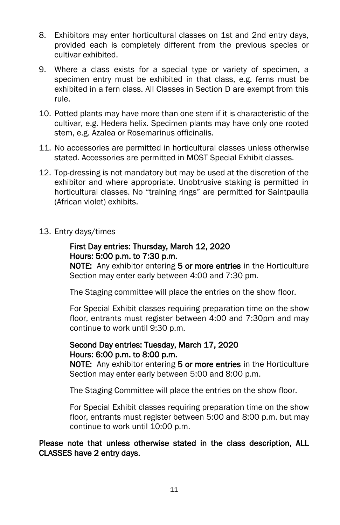- 8. Exhibitors may enter horticultural classes on 1st and 2nd entry days, provided each is completely different from the previous species or cultivar exhibited.
- 9. Where a class exists for a special type or variety of specimen, a specimen entry must be exhibited in that class, e.g. ferns must be exhibited in a fern class. All Classes in Section D are exempt from this rule.
- 10. Potted plants may have more than one stem if it is characteristic of the cultivar, e.g. Hedera helix. Specimen plants may have only one rooted stem, e.g. Azalea or Rosemarinus officinalis.
- 11. No accessories are permitted in horticultural classes unless otherwise stated. Accessories are permitted in MOST Special Exhibit classes.
- 12. Top-dressing is not mandatory but may be used at the discretion of the exhibitor and where appropriate. Unobtrusive staking is permitted in horticultural classes. No "training rings" are permitted for Saintpaulia (African violet) exhibits.
- 13. Entry days/times

#### First Day entries: Thursday, March 12, 2020 Hours: 5:00 p.m. to 7:30 p.m.

NOTE: Any exhibitor entering 5 or more entries in the Horticulture Section may enter early between 4:00 and 7:30 pm.

The Staging committee will place the entries on the show floor.

 For Special Exhibit classes requiring preparation time on the show floor, entrants must register between 4:00 and 7:30pm and may continue to work until 9:30 p.m.

#### Second Day entries: Tuesday, March 17, 2020 Hours: 6:00 p.m. to 8:00 p.m.

NOTE: Any exhibitor entering 5 or more entries in the Horticulture Section may enter early between 5:00 and 8:00 p.m.

The Staging Committee will place the entries on the show floor.

For Special Exhibit classes requiring preparation time on the show floor, entrants must register between 5:00 and 8:00 p.m. but may continue to work until 10:00 p.m.

Please note that unless otherwise stated in the class description, ALL CLASSES have 2 entry days.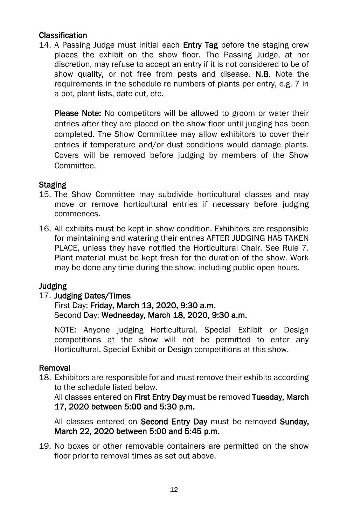## Classification

14. A Passing Judge must initial each Entry Tag before the staging crew places the exhibit on the show floor. The Passing Judge, at her discretion, may refuse to accept an entry if it is not considered to be of show quality, or not free from pests and disease. N.B. Note the requirements in the schedule re numbers of plants per entry, e.g. 7 in a pot, plant lists, date cut, etc.

Please Note: No competitors will be allowed to groom or water their entries after they are placed on the show floor until judging has been completed. The Show Committee may allow exhibitors to cover their entries if temperature and/or dust conditions would damage plants. Covers will be removed before judging by members of the Show Committee.

#### **Staging**

- 15. The Show Committee may subdivide horticultural classes and may move or remove horticultural entries if necessary before judging commences.
- 16. All exhibits must be kept in show condition. Exhibitors are responsible for maintaining and watering their entries AFTER JUDGING HAS TAKEN PLACE, unless they have notified the Horticultural Chair. See Rule 7. Plant material must be kept fresh for the duration of the show. Work may be done any time during the show, including public open hours.

#### Judging

#### 17. Judging Dates/Times

#### First Day: Friday, March 13, 2020, 9:30 a.m. Second Day: Wednesday, March 18, 2020, 9:30 a.m.

NOTE: Anyone judging Horticultural, Special Exhibit or Design competitions at the show will not be permitted to enter any Horticultural, Special Exhibit or Design competitions at this show.

#### Removal

18. Exhibitors are responsible for and must remove their exhibits according to the schedule listed below.

All classes entered on First Entry Day must be removed Tuesday, March 17, 2020 between 5:00 and 5:30 p.m.

All classes entered on Second Entry Day must be removed Sunday, March 22, 2020 between 5:00 and 5:45 p.m.

19. No boxes or other removable containers are permitted on the show floor prior to removal times as set out above.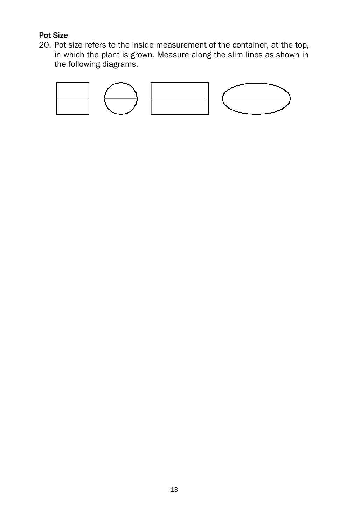# Pot Size

20. Pot size refers to the inside measurement of the container, at the top, in which the plant is grown. Measure along the slim lines as shown in the following diagrams.

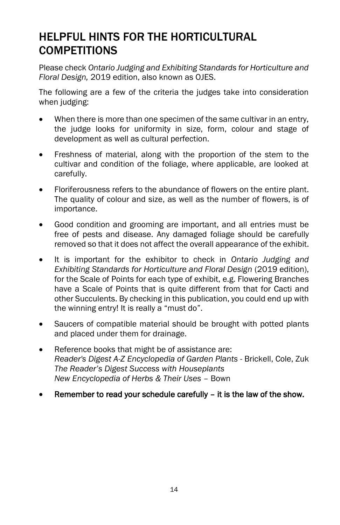# HELPFUL HINTS FOR THE HORTICULTURAL COMPETITIONS

Please check *Ontario Judging and Exhibiting Standards for Horticulture and Floral Design,* 2019 edition, also known as OJES.

The following are a few of the criteria the judges take into consideration when judging:

- When there is more than one specimen of the same cultivar in an entry, the judge looks for uniformity in size, form, colour and stage of development as well as cultural perfection.
- Freshness of material, along with the proportion of the stem to the cultivar and condition of the foliage, where applicable, are looked at carefully.
- Floriferousness refers to the abundance of flowers on the entire plant. The quality of colour and size, as well as the number of flowers, is of importance.
- Good condition and grooming are important, and all entries must be free of pests and disease. Any damaged foliage should be carefully removed so that it does not affect the overall appearance of the exhibit.
- It is important for the exhibitor to check in *Ontario Judging and Exhibiting Standards for Horticulture and Floral Design* (2019 edition), for the Scale of Points for each type of exhibit, e.g. Flowering Branches have a Scale of Points that is quite different from that for Cacti and other Succulents. By checking in this publication, you could end up with the winning entry! It is really a "must do".
- Saucers of compatible material should be brought with potted plants and placed under them for drainage.
- Reference books that might be of assistance are: *Reader's Digest A-Z Encyclopedia of Garden Plants* - Brickell, Cole, Zuk *The Reader's Digest Success with Houseplants New Encyclopedia of Herbs & Their Uses* – Bown
- Remember to read your schedule carefully it is the law of the show.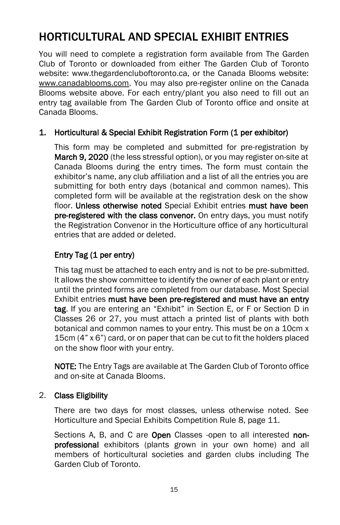# HORTICULTURAL AND SPECIAL EXHIBIT ENTRIES

You will need to complete a registration form available from The Garden Club of Toronto or downloaded from either The Garden Club of Toronto website: www.thegardencluboftoronto.ca, or the Canada Blooms website: [www.canadablooms.com.](http://www.canadablooms.com/) You may also pre-register online on the Canada Blooms website above. For each entry/plant you also need to fill out an entry tag available from The Garden Club of Toronto office and onsite at Canada Blooms.

#### 1. Horticultural & Special Exhibit Registration Form (1 per exhibitor)

This form may be completed and submitted for pre-registration by March 9, 2020 (the less stressful option), or you may register on-site at Canada Blooms during the entry times. The form must contain the exhibitor's name, any club affiliation and a list of all the entries you are submitting for both entry days (botanical and common names). This completed form will be available at the registration desk on the show floor. Unless otherwise noted Special Exhibit entries must have been pre-registered with the class convenor. On entry days, you must notify the Registration Convenor in the Horticulture office of any horticultural entries that are added or deleted.

# Entry Tag (1 per entry)

This tag must be attached to each entry and is not to be pre‐submitted. It allows the show committee to identify the owner of each plant or entry until the printed forms are completed from our database. Most Special Exhibit entries must have been pre-registered and must have an entry tag. If you are entering an "Exhibit" in Section E, or F or Section D in Classes 26 or 27, you must attach a printed list of plants with both botanical and common names to your entry. This must be on a 10cm x 15cm (4" x 6") card, or on paper that can be cut to fit the holders placed on the show floor with your entry.

NOTE: The Entry Tags are available at The Garden Club of Toronto office and on-site at Canada Blooms.

#### 2. Class Eligibility

There are two days for most classes, unless otherwise noted. See Horticulture and Special Exhibits Competition Rule 8, page 11.

Sections A, B, and C are Open Classes -open to all interested nonprofessional exhibitors (plants grown in your own home) and all members of horticultural societies and garden clubs including The Garden Club of Toronto.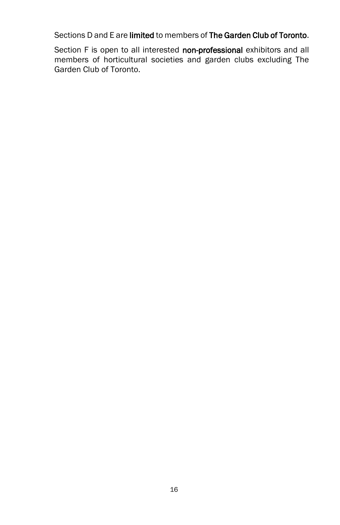Sections D and E are limited to members of The Garden Club of Toronto.

Section F is open to all interested non-professional exhibitors and all members of horticultural societies and garden clubs excluding The Garden Club of Toronto.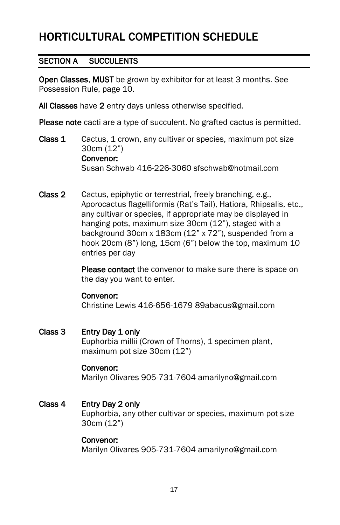# HORTICULTURAL COMPETITION SCHEDULE

# SECTION A SUCCULENTS

Open Classes, MUST be grown by exhibitor for at least 3 months. See Possession Rule, page 10.

All Classes have 2 entry days unless otherwise specified.

Please note cacti are a type of succulent. No grafted cactus is permitted.

- Class 1 Cactus, 1 crown, any cultivar or species, maximum pot size 30cm (12") Convenor: Susan Schwab 416-226-3060 sfschwab@hotmail.com
- Class 2 Cactus, epiphytic or terrestrial, freely branching, e.g., Aporocactus flagelliformis (Rat's Tail), Hatiora, Rhipsalis, etc., any cultivar or species, if appropriate may be displayed in hanging pots, maximum size 30cm (12"), staged with a background 30cm x 183cm (12" x 72"), suspended from a hook 20cm (8") long, 15cm (6") below the top, maximum 10 entries per day

Please contact the convenor to make sure there is space on the day you want to enter.

#### Convenor:

Christine Lewis 416-656-1679 89abacus@gmail.com

#### Class 3 Entry Day 1 only

Euphorbia millii (Crown of Thorns), 1 specimen plant, maximum pot size 30cm (12")

#### Convenor:

Marilyn Olivares 905-731-7604 amarilyno@gmail.com

#### Class 4 Entry Day 2 only

Euphorbia, any other cultivar or species, maximum pot size 30cm (12")

#### Convenor:

Marilyn Olivares 905-731-7604 amarilyno@gmail.com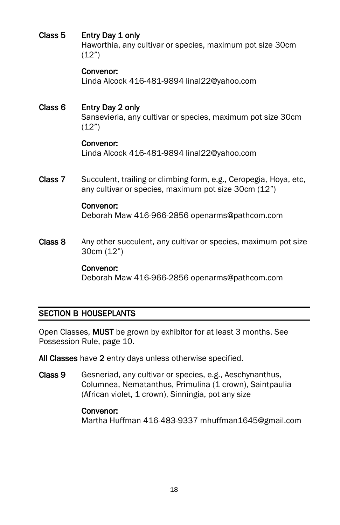# Class 5 Entry Day 1 only

Haworthia, any cultivar or species, maximum pot size 30cm (12")

#### Convenor:

Linda Alcock 416-481-9894 linal22@yahoo.com

## Class 6 Entry Day 2 only Sansevieria, any cultivar or species, maximum pot size 30cm (12")

#### Convenor:

Linda Alcock 416-481-9894 linal22@yahoo.com

Class 7 Succulent, trailing or climbing form, e.g., Ceropegia, Hoya, etc, any cultivar or species, maximum pot size 30cm (12")

#### Convenor:

Deborah Maw 416-966-2856 openarms@pathcom.com

Class 8 Any other succulent, any cultivar or species, maximum pot size 30cm (12")

#### Convenor:

Deborah Maw 416-966-2856 openarms@pathcom.com

# SECTION B HOUSEPLANTS

Open Classes, MUST be grown by exhibitor for at least 3 months. See Possession Rule, page 10.

All Classes have 2 entry days unless otherwise specified.

Class 9 Gesneriad, any cultivar or species, e.g., Aeschynanthus, Columnea, Nematanthus, Primulina (1 crown), Saintpaulia (African violet, 1 crown), Sinningia, pot any size

#### Convenor:

Martha Huffman 416-483-9337 mhuffman1645@gmail.com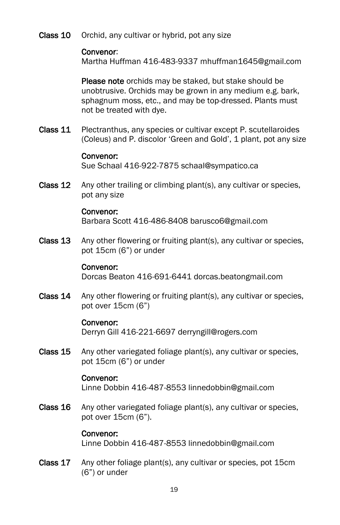Class 10 Orchid, any cultivar or hybrid, pot any size

# Convenor:

Martha Huffman 416-483-9337 mhuffman1645@gmail.com

Please note orchids may be staked, but stake should be unobtrusive. Orchids may be grown in any medium e.g. bark, sphagnum moss, etc., and may be top-dressed. Plants must not be treated with dye.

Class 11 Plectranthus, any species or cultivar except P. scutellaroides (Coleus) and P. discolor 'Green and Gold', 1 plant, pot any size

#### Convenor:

Sue Schaal 416-922-7875 schaal@sympatico.ca

Class 12 Any other trailing or climbing plant(s), any cultivar or species, pot any size

#### Convenor:

Barbara Scott 416-486-8408 barusco6@gmail.com

Class 13 Any other flowering or fruiting plant(s), any cultivar or species, pot 15cm (6") or under

#### Convenor:

Dorcas Beaton 416-691-6441 dorcas.beatongmail.com

Class 14 Any other flowering or fruiting plant(s), any cultivar or species, pot over 15cm (6")

#### Convenor:

Derryn Gill 416-221-6697 derryngill@rogers.com

Class 15 Any other variegated foliage plant(s), any cultivar or species, pot 15cm (6") or under

#### Convenor:

Linne Dobbin 416-487-8553 linnedobbin@gmail.com

Class 16 Any other variegated foliage plant(s), any cultivar or species, pot over 15cm (6").

#### Convenor:

Linne Dobbin 416-487-8553 linnedobbin@gmail.com

Class 17 Any other foliage plant(s), any cultivar or species, pot 15cm (6") or under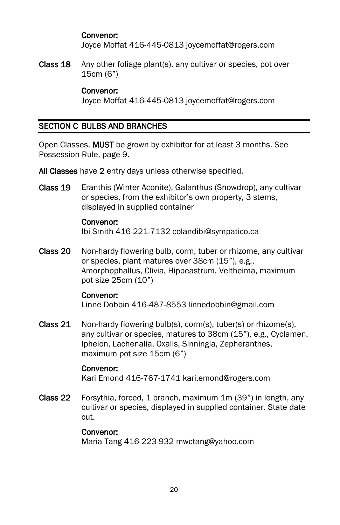#### Convenor:

Joyce Moffat 416-445-0813 joycemoffat@rogers.com

Class 18 Any other foliage plant(s), any cultivar or species, pot over 15cm (6")

#### Convenor:

Joyce Moffat 416-445-0813 joycemoffat@rogers.com

## SECTION C BULBS AND BRANCHES

Open Classes, MUST be grown by exhibitor for at least 3 months. See Possession Rule, page 9.

All Classes have 2 entry days unless otherwise specified.

Class 19 Eranthis (Winter Aconite), Galanthus (Snowdrop), any cultivar or species, from the exhibitor's own property, 3 stems, displayed in supplied container

#### Convenor:

Ibi Smith 416-221-7132 colandibi@sympatico.ca

Class 20 Non-hardy flowering bulb, corm, tuber or rhizome, any cultivar or species, plant matures over 38cm (15"), e.g., Amorphophallus, Clivia, Hippeastrum, Veltheima, maximum pot size 25cm (10")

#### Convenor:

Linne Dobbin 416-487-8553 linnedobbin@gmail.com

Class 21 Non-hardy flowering bulb(s), corm(s), tuber(s) or rhizome(s), any cultivar or species, matures to 38cm (15"), e.g., Cyclamen, Ipheion, Lachenalia, Oxalis, Sinningia, Zepheranthes, maximum pot size 15cm (6")

#### Convenor:

Kari Emond 416-767-1741 kari.emond@rogers.com

Class 22 Forsythia, forced, 1 branch, maximum 1m (39") in length, any cultivar or species, displayed in supplied container. State date cut.

#### Convenor:

Maria Tang 416-223-932 mwctang@yahoo.com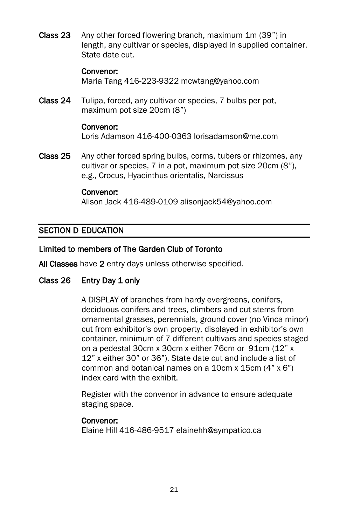Class 23 Any other forced flowering branch, maximum 1m (39") in length, any cultivar or species, displayed in supplied container. State date cut.

#### Convenor:

Maria Tang 416-223-9322 mcwtang@yahoo.com

Class 24 Tulipa, forced, any cultivar or species, 7 bulbs per pot, maximum pot size 20cm (8")

#### Convenor:

Loris Adamson 416-400-0363 lorisadamson@me.com

Class 25 Any other forced spring bulbs, corms, tubers or rhizomes, any cultivar or species, 7 in a pot, maximum pot size 20cm (8"), e.g., Crocus, Hyacinthus orientalis, Narcissus

#### Convenor:

Alison Jack 416-489-0109 alisonjack54@yahoo.com

## SECTION D EDUCATION

#### Limited to members of The Garden Club of Toronto

All Classes have 2 entry days unless otherwise specified.

#### Class 26 Entry Day 1 only

A DISPLAY of branches from hardy evergreens, conifers, deciduous conifers and trees, climbers and cut stems from ornamental grasses, perennials, ground cover (no Vinca minor) cut from exhibitor's own property, displayed in exhibitor's own container, minimum of 7 different cultivars and species staged on a pedestal 30cm x 30cm x either 76cm or 91cm (12" x 12" x either 30" or 36"). State date cut and include a list of common and botanical names on a 10cm x 15cm (4" x 6") index card with the exhibit.

Register with the convenor in advance to ensure adequate staging space.

#### Convenor:

Elaine Hill 416-486-9517 elainehh@sympatico.ca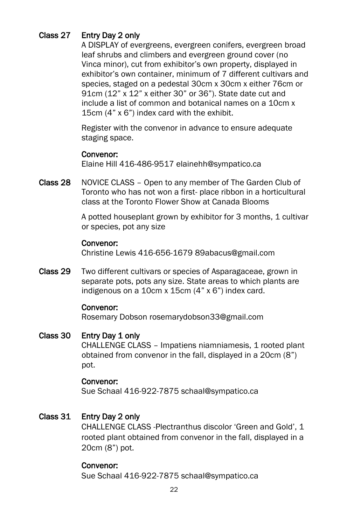# Class 27 Entry Day 2 only

A DISPLAY of evergreens, evergreen conifers, evergreen broad leaf shrubs and climbers and evergreen ground cover (no Vinca minor), cut from exhibitor's own property, displayed in exhibitor's own container, minimum of 7 different cultivars and species, staged on a pedestal 30cm x 30cm x either 76cm or 91cm (12" x 12" x either 30" or 36"). State date cut and include a list of common and botanical names on a 10cm x 15cm (4" x 6") index card with the exhibit.

Register with the convenor in advance to ensure adequate staging space.

#### Convenor:

Elaine Hill 416-486-9517 elainehh@sympatico.ca

Class 28 NOVICE CLASS – Open to any member of The Garden Club of Toronto who has not won a first- place ribbon in a horticultural class at the Toronto Flower Show at Canada Blooms

> A potted houseplant grown by exhibitor for 3 months, 1 cultivar or species, pot any size

#### Convenor:

Christine Lewis 416-656-1679 89abacus@gmail.com

Class 29 Two different cultivars or species of Asparagaceae, grown in separate pots, pots any size. State areas to which plants are indigenous on a 10cm x 15cm (4" x 6") index card.

#### Convenor:

Rosemary Dobson rosemarydobson33@gmail.com

#### Class 30 Entry Day 1 only

CHALLENGE CLASS – Impatiens niamniamesis, 1 rooted plant obtained from convenor in the fall, displayed in a 20cm (8") pot.

#### Convenor:

Sue Schaal 416-922-7875 schaal@sympatico.ca

#### Class 31 Entry Day 2 only

CHALLENGE CLASS -Plectranthus discolor 'Green and Gold', 1 rooted plant obtained from convenor in the fall, displayed in a 20cm (8") pot.

#### Convenor:

Sue Schaal 416-922-7875 schaal@sympatico.ca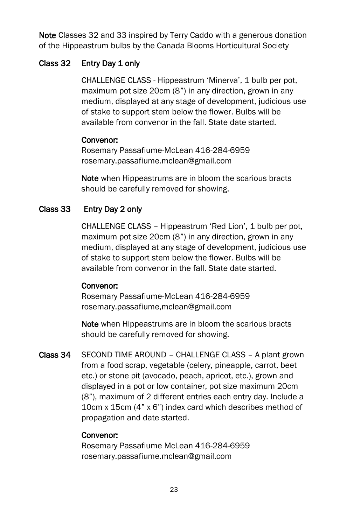Note Classes 32 and 33 inspired by Terry Caddo with a generous donation of the Hippeastrum bulbs by the Canada Blooms Horticultural Society

# Class 32 Entry Day 1 only

CHALLENGE CLASS - Hippeastrum 'Minerva', 1 bulb per pot, maximum pot size 20cm (8") in any direction, grown in any medium, displayed at any stage of development, judicious use of stake to support stem below the flower. Bulbs will be available from convenor in the fall. State date started.

# Convenor:

 Rosemary Passafiume-McLean 416-284-6959 rosemary.passafiume.mclean@gmail.com

Note when Hippeastrums are in bloom the scarious bracts should be carefully removed for showing.

# Class 33 Entry Day 2 only

CHALLENGE CLASS – Hippeastrum 'Red Lion', 1 bulb per pot, maximum pot size 20cm (8") in any direction, grown in any medium, displayed at any stage of development, judicious use of stake to support stem below the flower. Bulbs will be available from convenor in the fall. State date started.

#### Convenor:

 Rosemary Passafiume-McLean 416-284-6959 rosemary.passafiume,mclean@gmail.com

Note when Hippeastrums are in bloom the scarious bracts should be carefully removed for showing.

Class 34 SECOND TIME AROUND – CHALLENGE CLASS – A plant grown from a food scrap, vegetable (celery, pineapple, carrot, beet etc.) or stone pit (avocado, peach, apricot, etc.), grown and displayed in a pot or low container, pot size maximum 20cm (8"), maximum of 2 different entries each entry day. Include a 10cm x 15cm (4" x 6") index card which describes method of propagation and date started.

# Convenor:

Rosemary Passafiume McLean 416-284-6959 rosemary.passafiume.mclean@gmail.com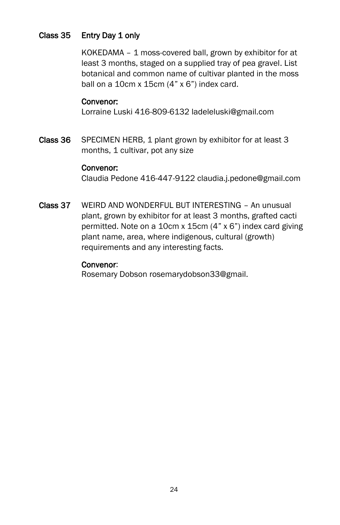## Class 35 Entry Day 1 only

KOKEDAMA – 1 moss-covered ball, grown by exhibitor for at least 3 months, staged on a supplied tray of pea gravel. List botanical and common name of cultivar planted in the moss ball on a  $10cm \times 15cm$  (4"  $\times$  6") index card.

#### Convenor:

Lorraine Luski 416-809-6132 ladeleluski@gmail.com

Class 36 SPECIMEN HERB, 1 plant grown by exhibitor for at least 3 months, 1 cultivar, pot any size

#### Convenor:

Claudia Pedone 416-447-9122 claudia.j.pedone@gmail.com

Class 37 WEIRD AND WONDERFUL BUT INTERESTING – An unusual plant, grown by exhibitor for at least 3 months, grafted cacti permitted. Note on a 10cm x 15cm (4" x 6") index card giving plant name, area, where indigenous, cultural (growth) requirements and any interesting facts.

#### Convenor:

Rosemary Dobson rosemarydobson33@gmail.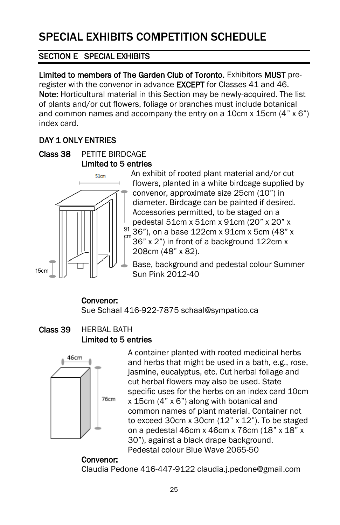# SECTION E SPECIAL EXHIBITS

Limited to members of The Garden Club of Toronto. Exhibitors MUST preregister with the convenor in advance EXCEPT for Classes 41 and 46. Note: Horticultural material in this Section may be newly-acquired. The list of plants and/or cut flowers, foliage or branches must include botanical and common names and accompany the entry on a 10cm x 15cm (4" x 6") index card.

# DAY 1 ONLY ENTRIES

Class 38 PETITE BIRDCAGE Limited to 5 entries



An exhibit of rooted plant material and/or cut flowers, planted in a white birdcage supplied by convenor, approximate size 25cm (10") in diameter. Birdcage can be painted if desired. Accessories permitted, to be staged on a pedestal 51cm x 51cm x 91cm (20" x 20" x  $^{91}$  36"), on a base 122cm x 91cm x 5cm (48" x 36" x 2") in front of a background 122cm x 208cm (48" x 82).

Base, background and pedestal colour Summer Sun Pink 2012-40

# Convenor:

Sue Schaal 416-922-7875 schaal@sympatico.ca

# Class 39 HERBAL BATH Limited to 5 entries



A container planted with rooted medicinal herbs and herbs that might be used in a bath, e.g., rose, jasmine, eucalyptus, etc. Cut herbal foliage and cut herbal flowers may also be used. State specific uses for the herbs on an index card 10cm x 15cm (4" x 6") along with botanical and common names of plant material. Container not to exceed 30cm  $x$  30cm  $(12" x 12")$ . To be staged on a pedestal 46cm x 46cm x 76cm (18" x 18" x 30"), against a black drape background. Pedestal colour Blue Wave 2065-50

# Convenor:

Claudia Pedone 416-447-9122 claudia.j.pedone@gmail.com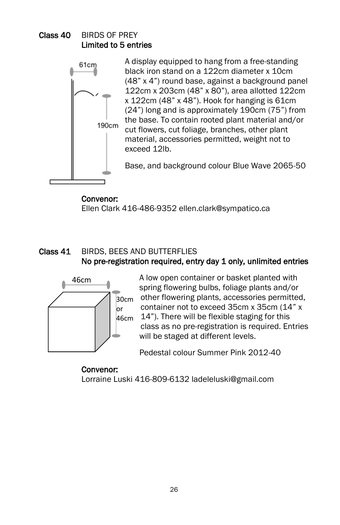# Class 40 BIRDS OF PREY Limited to 5 entries



A display equipped to hang from a free-standing black iron stand on a 122cm diameter x 10cm (48" x 4") round base, against a background panel 122cm x 203cm (48" x 80"), area allotted 122cm x 122cm (48" x 48"). Hook for hanging is 61cm (24") long and is approximately 190cm (75") from the base. To contain rooted plant material and/or cut flowers, cut foliage, branches, other plant material, accessories permitted, weight not to exceed 12lb.

Base, and background colour Blue Wave 2065-50

## Convenor:

Ellen Clark 416-486-9352 ellen.clark@sympatico.ca

# Class 41 BIRDS, BEES AND BUTTERFLIES No pre-registration required, entry day 1 only, unlimited entries



A low open container or basket planted with spring flowering bulbs, foliage plants and/or  $\overline{a}_{0\text{cm}}$  other flowering plants, accessories permitted, container not to exceed 35cm x 35cm (14" x  $46cm$   $14"$ ). There will be flexible staging for this class as no pre-registration is required. Entries will be staged at different levels.

Pedestal colour Summer Pink 2012-40

 Convenor: Lorraine Luski 416-809-6132 ladeleluski@gmail.com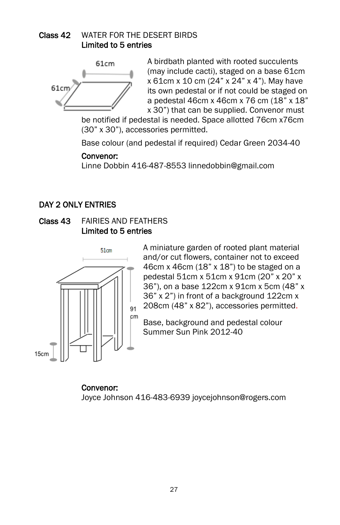# Class 42 WATER FOR THE DESERT BIRDS Limited to 5 entries



A birdbath planted with rooted succulents (may include cacti), staged on a base 61cm x 61cm x 10 cm (24" x 24" x 4"). May have its own pedestal or if not could be staged on a pedestal 46cm x 46cm x 76 cm (18" x 18" x 30") that can be supplied. Convenor must

be notified if pedestal is needed. Space allotted 76cm x76cm (30" x 30"), accessories permitted.

Base colour (and pedestal if required) Cedar Green 2034-40

## Convenor:

Linne Dobbin 416-487-8553 linnedobbin@gmail.com

# DAY 2 ONLY ENTRIES





A miniature garden of rooted plant material and/or cut flowers, container not to exceed 46cm x 46cm (18" x 18") to be staged on a pedestal 51cm x 51cm x 91cm (20" x 20" x 36"), on a base 122cm x 91cm x 5cm (48" x 36" x 2") in front of a background 122cm x 208cm (48" x 82"), accessories permitted.

Base, background and pedestal colour Summer Sun Pink 2012-40

 Convenor: Joyce Johnson 416-483-6939 joycejohnson@rogers.com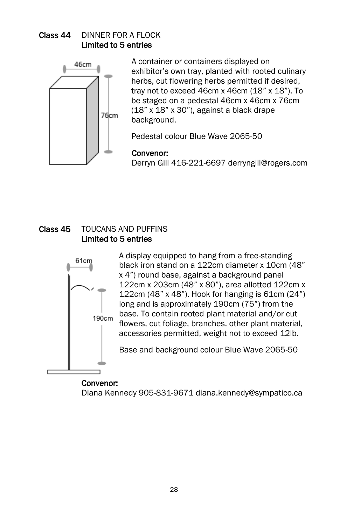# Class 44 DINNER FOR A FLOCK Limited to 5 entries



A container or containers displayed on exhibitor's own tray, planted with rooted culinary herbs, cut flowering herbs permitted if desired, tray not to exceed 46cm x 46cm (18" x 18"). To be staged on a pedestal 46cm x 46cm x 76cm (18" x 18" x 30"), against a black drape background.

Pedestal colour Blue Wave 2065-50

## Convenor:

Derryn Gill 416-221-6697 derryngill@rogers.com

## Class 45 TOUCANS AND PUFFINS Limited to 5 entries



A display equipped to hang from a free-standing black iron stand on a 122cm diameter x 10cm (48" x 4") round base, against a background panel 122cm x 203cm (48" x 80"), area allotted 122cm x 122cm (48" x 48"). Hook for hanging is 61cm (24") long and is approximately 190cm (75") from the base. To contain rooted plant material and/or cut flowers, cut foliage, branches, other plant material, accessories permitted, weight not to exceed 12lb.

Base and background colour Blue Wave 2065-50

#### Convenor:

Diana Kennedy 905-831-9671 diana.kennedy@sympatico.ca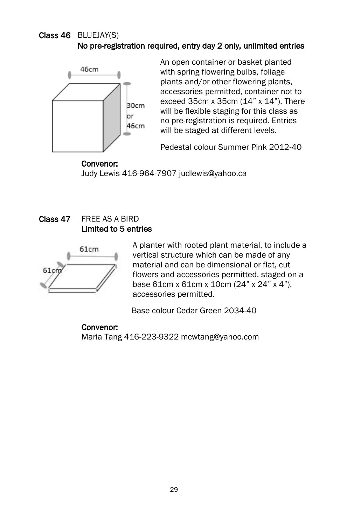## Class 46 BLUEJAY(S) No pre-registration required, entry day 2 only, unlimited entries



An open container or basket planted with spring flowering bulbs, foliage plants and/or other flowering plants, accessories permitted, container not to exceed 35cm x 35cm (14" x 14"). There will be flexible staging for this class as no pre-registration is required. Entries will be staged at different levels.

Pedestal colour Summer Pink 2012-40

 Convenor: Judy Lewis 416-964-7907 judlewis@yahoo.ca

# Class 47 FREE AS A BIRD Limited to 5 entries



A planter with rooted plant material, to include a vertical structure which can be made of any material and can be dimensional or flat, cut flowers and accessories permitted, staged on a base 61cm x 61cm x 10cm (24" x 24" x 4"), accessories permitted.

Base colour Cedar Green 2034-40

## Convenor: Maria Tang 416-223-9322 mcwtang@yahoo.com